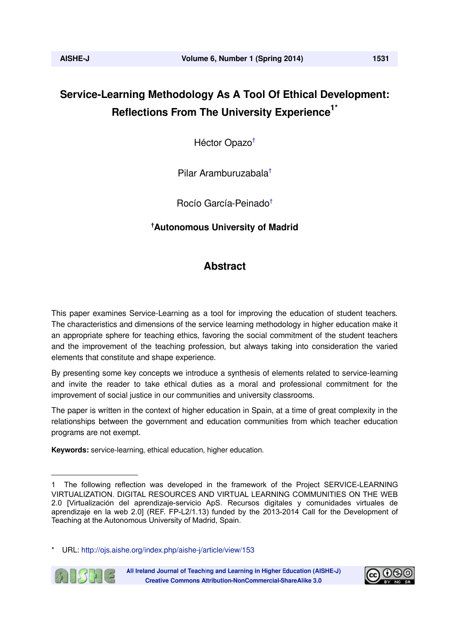# **Service-Learning Methodology As A Tool Of Ethical Development: Reflections From The University Experience<sup>1\*</sup>**

Héctor Opazo†

Pilar Aramburuzabala†

Rocío García-Peinado†

# **† Autonomous University of Madrid**

# **Abstract**

This paper examines Service-Learning as a tool for improving the education of student teachers. The characteristics and dimensions of the service learning methodology in higher education make it an appropriate sphere for teaching ethics, favoring the social commitment of the student teachers and the improvement of the teaching profession, but always taking into consideration the varied elements that constitute and shape experience.

By presenting some key concepts we introduce a synthesis of elements related to service-learning and invite the reader to take ethical duties as a moral and professional commitment for the improvement of social justice in our communities and university classrooms.

The paper is written in the context of higher education in Spain, at a time of great complexity in the relationships between the government and education communities from which teacher education programs are not exempt.

**Keywords:** service-learning, ethical education, higher education.

URL: http://ojs.aishe.org/index.php/aishe-j/article/view/153



All Ireland Journal of Teaching and Learning in Higher Education (AISHE-J) **Creative Commons Attribution-NonCommercial-ShareAlike 3.0** 



<sup>1</sup> The following reflection was developed in the framework of the Project SERVICE-LEARNING VIRTUALIZATION. DIGITAL RESOURCES AND VIRTUAL LEARNING COMMUNITIES ON THE WEB 2.0 [Virtualización del aprendizaje-servicio ApS. Recursos digitales y comunidades virtuales de aprendizaje en la web 2.0] (REF. FP-L2/1.13) funded by the 2013-2014 Call for the Development of Teaching at the Autonomous University of Madrid, Spain.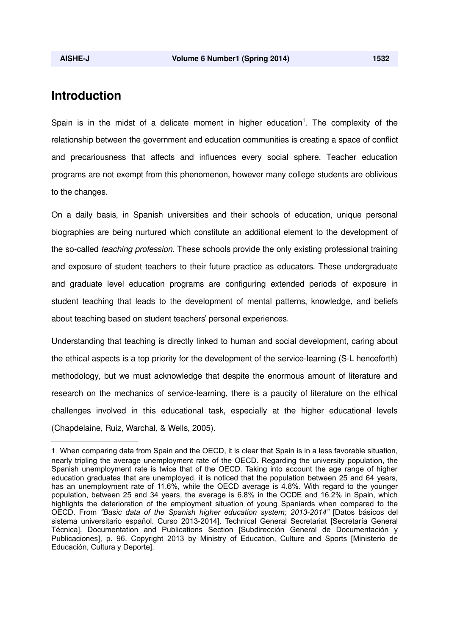# **Introduction**

Spain is in the midst of a delicate moment in higher education<sup>1</sup>. The complexity of the relationship between the government and education communities is creating a space of conflict and precariousness that affects and influences every social sphere. Teacher education programs are not exempt from this phenomenon, however many college students are oblivious to the changes.

On a daily basis, in Spanish universities and their schools of education, unique personal biographies are being nurtured which constitute an additional element to the development of the so-called *teaching profession*. These schools provide the only existing professional training and exposure of student teachers to their future practice as educators. These undergraduate and graduate level education programs are configuring extended periods of exposure in student teaching that leads to the development of mental patterns, knowledge, and beliefs about teaching based on student teachers' personal experiences.

Understanding that teaching is directly linked to human and social development, caring about the ethical aspects is a top priority for the development of the service-learning (S-L henceforth) methodology, but we must acknowledge that despite the enormous amount of literature and research on the mechanics of service-learning, there is a paucity of literature on the ethical challenges involved in this educational task, especially at the higher educational levels (Chapdelaine, Ruiz, Warchal, & Wells, 2005).

<sup>1</sup> When comparing data from Spain and the OECD, it is clear that Spain is in a less favorable situation, nearly tripling the average unemployment rate of the OECD. Regarding the university population, the Spanish unemployment rate is twice that of the OECD. Taking into account the age range of higher education graduates that are unemployed, it is noticed that the population between 25 and 64 years, has an unemployment rate of 11.6%, while the OECD average is 4.8%. With regard to the younger population, between 25 and 34 years, the average is 6.8% in the OCDE and 16.2% in Spain, which highlights the deterioration of the employment situation of young Spaniards when compared to the OECD. From *"Basic data of the Spanish higher education system; 2013-2014"* [Datos básicos del sistema universitario español. Curso 2013-2014]. Technical General Secretariat [Secretaría General Técnica], Documentation and Publications Section [Subdirección General de Documentación y Publicaciones], p. 96. Copyright 2013 by Ministry of Education, Culture and Sports [Ministerio de Educación, Cultura y Deporte].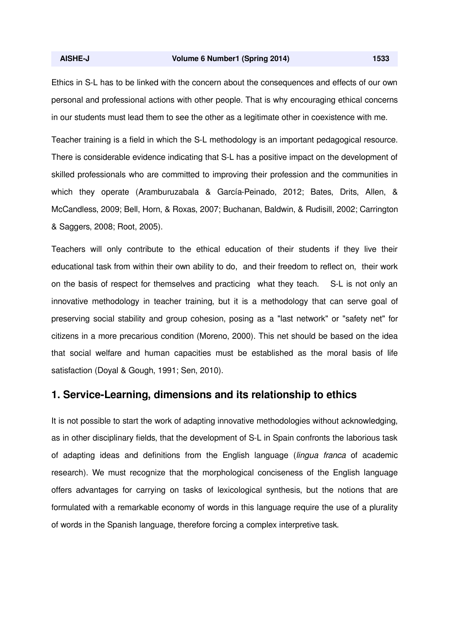Ethics in S-L has to be linked with the concern about the consequences and effects of our own personal and professional actions with other people. That is why encouraging ethical concerns in our students must lead them to see the other as a legitimate other in coexistence with me.

Teacher training is a field in which the S-L methodology is an important pedagogical resource. There is considerable evidence indicating that S-L has a positive impact on the development of skilled professionals who are committed to improving their profession and the communities in which they operate (Aramburuzabala & García-Peinado, 2012; Bates, Drits, Allen, & McCandless, 2009; Bell, Horn, & Roxas, 2007; Buchanan, Baldwin, & Rudisill, 2002; Carrington & Saggers, 2008; Root, 2005).

Teachers will only contribute to the ethical education of their students if they live their educational task from within their own ability to do, and their freedom to reflect on, their work on the basis of respect for themselves and practicing what they teach. S-L is not only an innovative methodology in teacher training, but it is a methodology that can serve goal of preserving social stability and group cohesion, posing as a "last network" or "safety net" for citizens in a more precarious condition (Moreno, 2000). This net should be based on the idea that social welfare and human capacities must be established as the moral basis of life satisfaction (Doyal & Gough, 1991; Sen, 2010).

### **1. Service-Learning, dimensions and its relationship to ethics**

It is not possible to start the work of adapting innovative methodologies without acknowledging, as in other disciplinary fields, that the development of S-L in Spain confronts the laborious task of adapting ideas and definitions from the English language (*lingua franca* of academic research). We must recognize that the morphological conciseness of the English language offers advantages for carrying on tasks of lexicological synthesis, but the notions that are formulated with a remarkable economy of words in this language require the use of a plurality of words in the Spanish language, therefore forcing a complex interpretive task.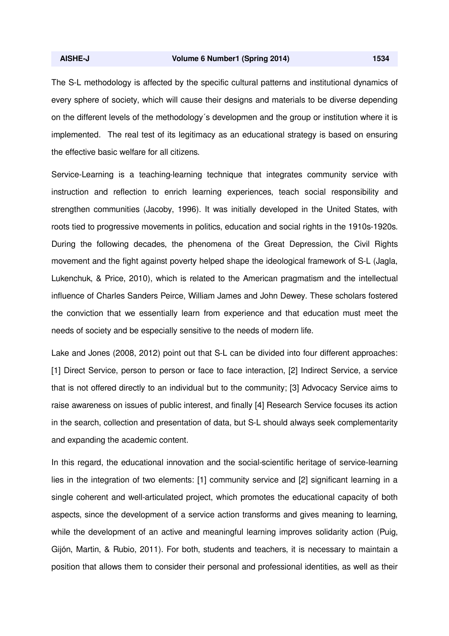The S-L methodology is affected by the specific cultural patterns and institutional dynamics of every sphere of society, which will cause their designs and materials to be diverse depending on the different levels of the methodology´s developmen and the group or institution where it is implemented. The real test of its legitimacy as an educational strategy is based on ensuring the effective basic welfare for all citizens.

Service-Learning is a teaching-learning technique that integrates community service with instruction and reflection to enrich learning experiences, teach social responsibility and strengthen communities (Jacoby, 1996). It was initially developed in the United States, with roots tied to progressive movements in politics, education and social rights in the 1910s-1920s. During the following decades, the phenomena of the Great Depression, the Civil Rights movement and the fight against poverty helped shape the ideological framework of S-L (Jagla, Lukenchuk, & Price, 2010), which is related to the American pragmatism and the intellectual influence of Charles Sanders Peirce, William James and John Dewey. These scholars fostered the conviction that we essentially learn from experience and that education must meet the needs of society and be especially sensitive to the needs of modern life.

Lake and Jones (2008, 2012) point out that S-L can be divided into four different approaches: [1] Direct Service, person to person or face to face interaction, [2] Indirect Service, a service that is not offered directly to an individual but to the community; [3] Advocacy Service aims to raise awareness on issues of public interest, and finally [4] Research Service focuses its action in the search, collection and presentation of data, but S-L should always seek complementarity and expanding the academic content.

In this regard, the educational innovation and the social-scientific heritage of service-learning lies in the integration of two elements: [1] community service and [2] significant learning in a single coherent and well-articulated project, which promotes the educational capacity of both aspects, since the development of a service action transforms and gives meaning to learning, while the development of an active and meaningful learning improves solidarity action (Puig, Gijón, Martin, & Rubio, 2011). For both, students and teachers, it is necessary to maintain a position that allows them to consider their personal and professional identities, as well as their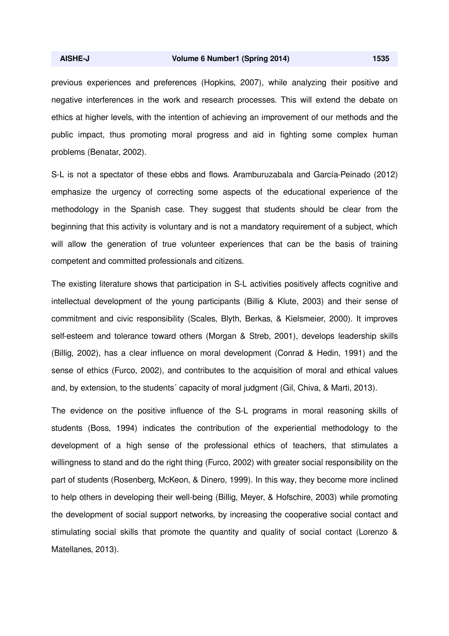previous experiences and preferences (Hopkins, 2007), while analyzing their positive and negative interferences in the work and research processes. This will extend the debate on ethics at higher levels, with the intention of achieving an improvement of our methods and the public impact, thus promoting moral progress and aid in fighting some complex human problems (Benatar, 2002).

S-L is not a spectator of these ebbs and flows. Aramburuzabala and García-Peinado (2012) emphasize the urgency of correcting some aspects of the educational experience of the methodology in the Spanish case. They suggest that students should be clear from the beginning that this activity is voluntary and is not a mandatory requirement of a subject, which will allow the generation of true volunteer experiences that can be the basis of training competent and committed professionals and citizens.

The existing literature shows that participation in S-L activities positively affects cognitive and intellectual development of the young participants (Billig & Klute, 2003) and their sense of commitment and civic responsibility (Scales, Blyth, Berkas, & Kielsmeier, 2000). It improves self-esteem and tolerance toward others (Morgan & Streb, 2001), develops leadership skills (Billig, 2002), has a clear influence on moral development (Conrad & Hedin, 1991) and the sense of ethics (Furco, 2002), and contributes to the acquisition of moral and ethical values and, by extension, to the students´ capacity of moral judgment (Gil, Chiva, & Marti, 2013).

The evidence on the positive influence of the S-L programs in moral reasoning skills of students (Boss, 1994) indicates the contribution of the experiential methodology to the development of a high sense of the professional ethics of teachers, that stimulates a willingness to stand and do the right thing (Furco, 2002) with greater social responsibility on the part of students (Rosenberg, McKeon, & Dinero, 1999). In this way, they become more inclined to help others in developing their well-being (Billig, Meyer, & Hofschire, 2003) while promoting the development of social support networks, by increasing the cooperative social contact and stimulating social skills that promote the quantity and quality of social contact (Lorenzo & Matellanes, 2013).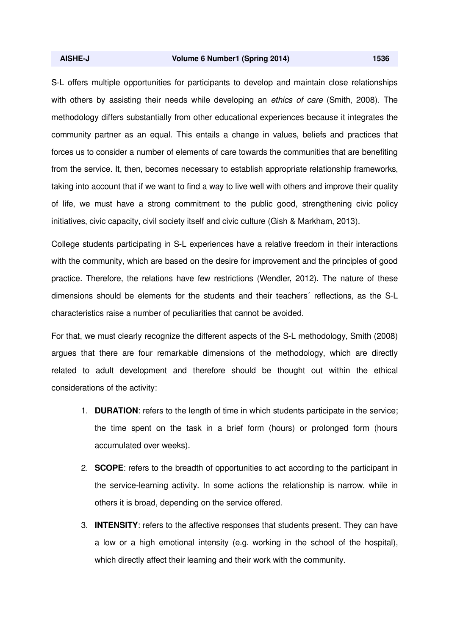#### **AISHE-J Volume 6 Number1 (Spring 2014) 1536**

S-L offers multiple opportunities for participants to develop and maintain close relationships with others by assisting their needs while developing an *ethics of care* (Smith, 2008). The methodology differs substantially from other educational experiences because it integrates the community partner as an equal. This entails a change in values, beliefs and practices that forces us to consider a number of elements of care towards the communities that are benefiting from the service. It, then, becomes necessary to establish appropriate relationship frameworks, taking into account that if we want to find a way to live well with others and improve their quality of life, we must have a strong commitment to the public good, strengthening civic policy initiatives, civic capacity, civil society itself and civic culture (Gish & Markham, 2013).

College students participating in S-L experiences have a relative freedom in their interactions with the community, which are based on the desire for improvement and the principles of good practice. Therefore, the relations have few restrictions (Wendler, 2012). The nature of these dimensions should be elements for the students and their teachers´ reflections, as the S-L characteristics raise a number of peculiarities that cannot be avoided.

For that, we must clearly recognize the different aspects of the S-L methodology, Smith (2008) argues that there are four remarkable dimensions of the methodology, which are directly related to adult development and therefore should be thought out within the ethical considerations of the activity:

- 1. **DURATION**: refers to the length of time in which students participate in the service; the time spent on the task in a brief form (hours) or prolonged form (hours accumulated over weeks).
- 2. **SCOPE**: refers to the breadth of opportunities to act according to the participant in the service-learning activity. In some actions the relationship is narrow, while in others it is broad, depending on the service offered.
- 3. **INTENSITY**: refers to the affective responses that students present. They can have a low or a high emotional intensity (e.g. working in the school of the hospital), which directly affect their learning and their work with the community.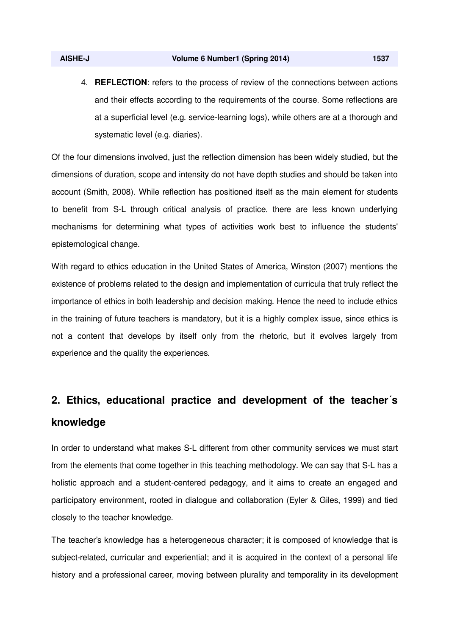4. **REFLECTION**: refers to the process of review of the connections between actions and their effects according to the requirements of the course. Some reflections are at a superficial level (e.g. service-learning logs), while others are at a thorough and systematic level (e.g. diaries).

Of the four dimensions involved, just the reflection dimension has been widely studied, but the dimensions of duration, scope and intensity do not have depth studies and should be taken into account (Smith, 2008). While reflection has positioned itself as the main element for students to benefit from S-L through critical analysis of practice, there are less known underlying mechanisms for determining what types of activities work best to influence the students' epistemological change.

With regard to ethics education in the United States of America, Winston (2007) mentions the existence of problems related to the design and implementation of curricula that truly reflect the importance of ethics in both leadership and decision making. Hence the need to include ethics in the training of future teachers is mandatory, but it is a highly complex issue, since ethics is not a content that develops by itself only from the rhetoric, but it evolves largely from experience and the quality the experiences.

# **2. Ethics, educational practice and development of the teacher´s knowledge**

In order to understand what makes S-L different from other community services we must start from the elements that come together in this teaching methodology. We can say that S-L has a holistic approach and a student-centered pedagogy, and it aims to create an engaged and participatory environment, rooted in dialogue and collaboration (Eyler & Giles, 1999) and tied closely to the teacher knowledge.

The teacher's knowledge has a heterogeneous character; it is composed of knowledge that is subject-related, curricular and experiential; and it is acquired in the context of a personal life history and a professional career, moving between plurality and temporality in its development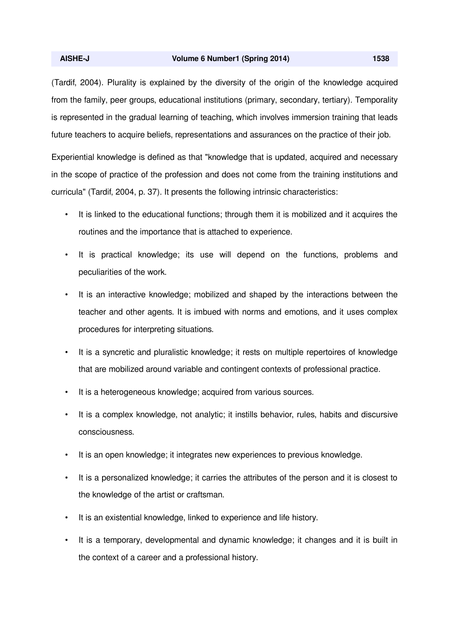(Tardif, 2004). Plurality is explained by the diversity of the origin of the knowledge acquired from the family, peer groups, educational institutions (primary, secondary, tertiary). Temporality is represented in the gradual learning of teaching, which involves immersion training that leads future teachers to acquire beliefs, representations and assurances on the practice of their job.

Experiential knowledge is defined as that "knowledge that is updated, acquired and necessary in the scope of practice of the profession and does not come from the training institutions and curricula" (Tardif, 2004, p. 37). It presents the following intrinsic characteristics:

- It is linked to the educational functions; through them it is mobilized and it acquires the routines and the importance that is attached to experience.
- It is practical knowledge; its use will depend on the functions, problems and peculiarities of the work.
- It is an interactive knowledge; mobilized and shaped by the interactions between the teacher and other agents. It is imbued with norms and emotions, and it uses complex procedures for interpreting situations.
- It is a syncretic and pluralistic knowledge; it rests on multiple repertoires of knowledge that are mobilized around variable and contingent contexts of professional practice.
- It is a heterogeneous knowledge; acquired from various sources.
- It is a complex knowledge, not analytic; it instills behavior, rules, habits and discursive consciousness.
- It is an open knowledge; it integrates new experiences to previous knowledge.
- It is a personalized knowledge; it carries the attributes of the person and it is closest to the knowledge of the artist or craftsman.
- It is an existential knowledge, linked to experience and life history.
- It is a temporary, developmental and dynamic knowledge; it changes and it is built in the context of a career and a professional history.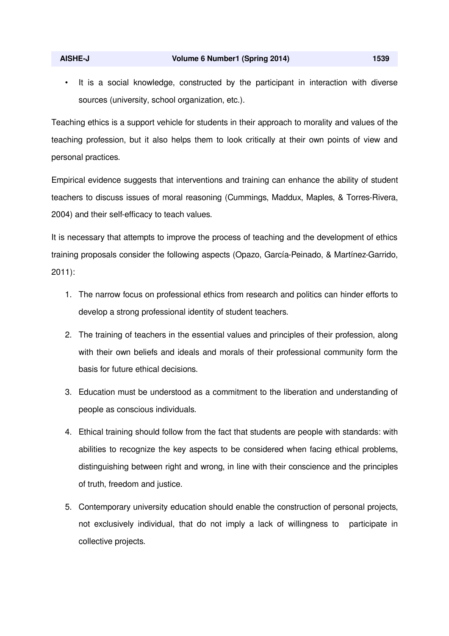It is a social knowledge, constructed by the participant in interaction with diverse sources (university, school organization, etc.).

Teaching ethics is a support vehicle for students in their approach to morality and values of the teaching profession, but it also helps them to look critically at their own points of view and personal practices.

Empirical evidence suggests that interventions and training can enhance the ability of student teachers to discuss issues of moral reasoning (Cummings, Maddux, Maples, & Torres-Rivera, 2004) and their self-efficacy to teach values.

It is necessary that attempts to improve the process of teaching and the development of ethics training proposals consider the following aspects (Opazo, García-Peinado, & Martínez-Garrido, 2011):

- 1. The narrow focus on professional ethics from research and politics can hinder efforts to develop a strong professional identity of student teachers.
- 2. The training of teachers in the essential values and principles of their profession, along with their own beliefs and ideals and morals of their professional community form the basis for future ethical decisions.
- 3. Education must be understood as a commitment to the liberation and understanding of people as conscious individuals.
- 4. Ethical training should follow from the fact that students are people with standards: with abilities to recognize the key aspects to be considered when facing ethical problems, distinguishing between right and wrong, in line with their conscience and the principles of truth, freedom and justice.
- 5. Contemporary university education should enable the construction of personal projects, not exclusively individual, that do not imply a lack of willingness to participate in collective projects.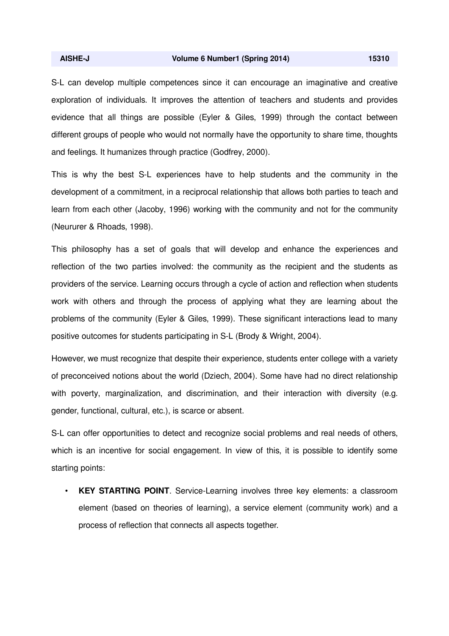S-L can develop multiple competences since it can encourage an imaginative and creative exploration of individuals. It improves the attention of teachers and students and provides evidence that all things are possible (Eyler & Giles, 1999) through the contact between different groups of people who would not normally have the opportunity to share time, thoughts and feelings. It humanizes through practice (Godfrey, 2000).

This is why the best S-L experiences have to help students and the community in the development of a commitment, in a reciprocal relationship that allows both parties to teach and learn from each other (Jacoby, 1996) working with the community and not for the community (Neururer & Rhoads, 1998).

This philosophy has a set of goals that will develop and enhance the experiences and reflection of the two parties involved: the community as the recipient and the students as providers of the service. Learning occurs through a cycle of action and reflection when students work with others and through the process of applying what they are learning about the problems of the community (Eyler & Giles, 1999). These significant interactions lead to many positive outcomes for students participating in S-L (Brody & Wright, 2004).

However, we must recognize that despite their experience, students enter college with a variety of preconceived notions about the world (Dziech, 2004). Some have had no direct relationship with poverty, marginalization, and discrimination, and their interaction with diversity (e.g. gender, functional, cultural, etc.), is scarce or absent.

S-L can offer opportunities to detect and recognize social problems and real needs of others, which is an incentive for social engagement. In view of this, it is possible to identify some starting points:

• **KEY STARTING POINT**. Service-Learning involves three key elements: a classroom element (based on theories of learning), a service element (community work) and a process of reflection that connects all aspects together.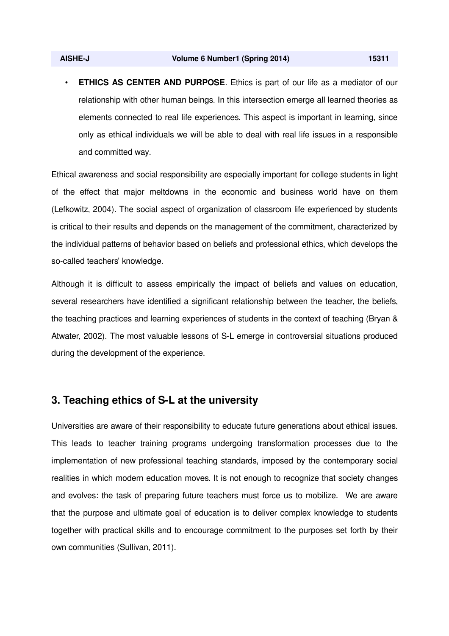and committed way.

• **ETHICS AS CENTER AND PURPOSE**. Ethics is part of our life as a mediator of our relationship with other human beings. In this intersection emerge all learned theories as elements connected to real life experiences. This aspect is important in learning, since only as ethical individuals we will be able to deal with real life issues in a responsible

Ethical awareness and social responsibility are especially important for college students in light of the effect that major meltdowns in the economic and business world have on them (Lefkowitz, 2004). The social aspect of organization of classroom life experienced by students is critical to their results and depends on the management of the commitment, characterized by the individual patterns of behavior based on beliefs and professional ethics, which develops the so-called teachers' knowledge.

Although it is difficult to assess empirically the impact of beliefs and values on education, several researchers have identified a significant relationship between the teacher, the beliefs, the teaching practices and learning experiences of students in the context of teaching (Bryan & Atwater, 2002). The most valuable lessons of S-L emerge in controversial situations produced during the development of the experience.

#### **3. Teaching ethics of S-L at the university**

Universities are aware of their responsibility to educate future generations about ethical issues. This leads to teacher training programs undergoing transformation processes due to the implementation of new professional teaching standards, imposed by the contemporary social realities in which modern education moves. It is not enough to recognize that society changes and evolves: the task of preparing future teachers must force us to mobilize. We are aware that the purpose and ultimate goal of education is to deliver complex knowledge to students together with practical skills and to encourage commitment to the purposes set forth by their own communities (Sullivan, 2011).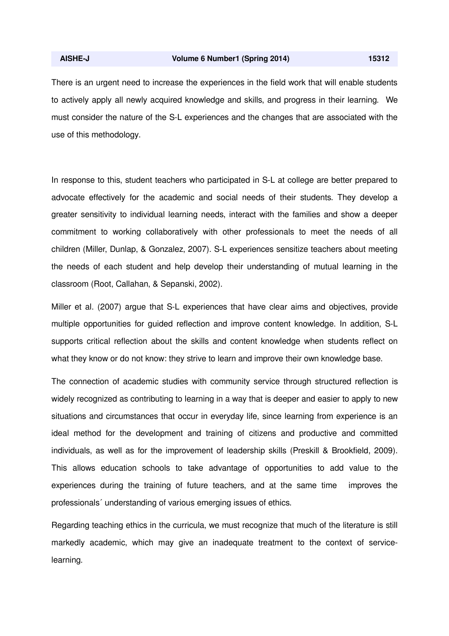There is an urgent need to increase the experiences in the field work that will enable students to actively apply all newly acquired knowledge and skills, and progress in their learning. We must consider the nature of the S-L experiences and the changes that are associated with the use of this methodology.

In response to this, student teachers who participated in S-L at college are better prepared to advocate effectively for the academic and social needs of their students. They develop a greater sensitivity to individual learning needs, interact with the families and show a deeper commitment to working collaboratively with other professionals to meet the needs of all children (Miller, Dunlap, & Gonzalez, 2007). S-L experiences sensitize teachers about meeting the needs of each student and help develop their understanding of mutual learning in the classroom (Root, Callahan, & Sepanski, 2002).

Miller et al. (2007) argue that S-L experiences that have clear aims and objectives, provide multiple opportunities for guided reflection and improve content knowledge. In addition, S-L supports critical reflection about the skills and content knowledge when students reflect on what they know or do not know: they strive to learn and improve their own knowledge base.

The connection of academic studies with community service through structured reflection is widely recognized as contributing to learning in a way that is deeper and easier to apply to new situations and circumstances that occur in everyday life, since learning from experience is an ideal method for the development and training of citizens and productive and committed individuals, as well as for the improvement of leadership skills (Preskill & Brookfield, 2009). This allows education schools to take advantage of opportunities to add value to the experiences during the training of future teachers, and at the same time improves the professionals´ understanding of various emerging issues of ethics.

Regarding teaching ethics in the curricula, we must recognize that much of the literature is still markedly academic, which may give an inadequate treatment to the context of servicelearning.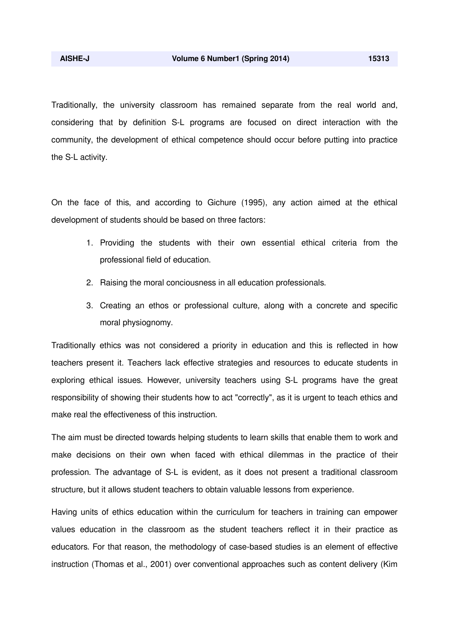Traditionally, the university classroom has remained separate from the real world and, considering that by definition S-L programs are focused on direct interaction with the community, the development of ethical competence should occur before putting into practice the S-L activity.

On the face of this, and according to Gichure (1995), any action aimed at the ethical development of students should be based on three factors:

- 1. Providing the students with their own essential ethical criteria from the professional field of education.
- 2. Raising the moral conciousness in all education professionals.
- 3. Creating an ethos or professional culture, along with a concrete and specific moral physiognomy.

Traditionally ethics was not considered a priority in education and this is reflected in how teachers present it. Teachers lack effective strategies and resources to educate students in exploring ethical issues. However, university teachers using S-L programs have the great responsibility of showing their students how to act "correctly", as it is urgent to teach ethics and make real the effectiveness of this instruction.

The aim must be directed towards helping students to learn skills that enable them to work and make decisions on their own when faced with ethical dilemmas in the practice of their profession. The advantage of S-L is evident, as it does not present a traditional classroom structure, but it allows student teachers to obtain valuable lessons from experience.

Having units of ethics education within the curriculum for teachers in training can empower values education in the classroom as the student teachers reflect it in their practice as educators. For that reason, the methodology of case-based studies is an element of effective instruction (Thomas et al., 2001) over conventional approaches such as content delivery (Kim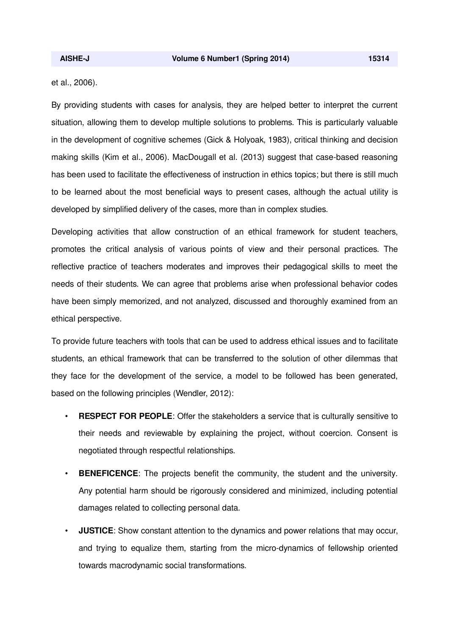et al., 2006).

By providing students with cases for analysis, they are helped better to interpret the current situation, allowing them to develop multiple solutions to problems. This is particularly valuable in the development of cognitive schemes (Gick & Holyoak, 1983), critical thinking and decision making skills (Kim et al., 2006). MacDougall et al. (2013) suggest that case-based reasoning has been used to facilitate the effectiveness of instruction in ethics topics; but there is still much to be learned about the most beneficial ways to present cases, although the actual utility is developed by simplified delivery of the cases, more than in complex studies.

Developing activities that allow construction of an ethical framework for student teachers, promotes the critical analysis of various points of view and their personal practices. The reflective practice of teachers moderates and improves their pedagogical skills to meet the needs of their students. We can agree that problems arise when professional behavior codes have been simply memorized, and not analyzed, discussed and thoroughly examined from an ethical perspective.

To provide future teachers with tools that can be used to address ethical issues and to facilitate students, an ethical framework that can be transferred to the solution of other dilemmas that they face for the development of the service, a model to be followed has been generated, based on the following principles (Wendler, 2012):

- **RESPECT FOR PEOPLE**: Offer the stakeholders a service that is culturally sensitive to their needs and reviewable by explaining the project, without coercion. Consent is negotiated through respectful relationships.
- **BENEFICENCE:** The projects benefit the community, the student and the university. Any potential harm should be rigorously considered and minimized, including potential damages related to collecting personal data.
- **JUSTICE**: Show constant attention to the dynamics and power relations that may occur, and trying to equalize them, starting from the micro-dynamics of fellowship oriented towards macrodynamic social transformations.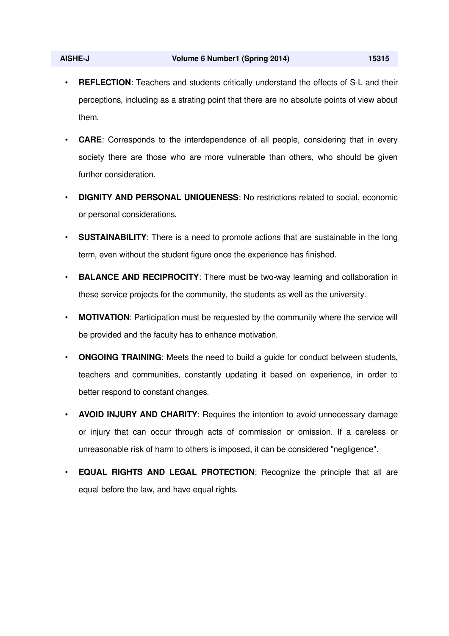- **REFLECTION:** Teachers and students critically understand the effects of S-L and their perceptions, including as a strating point that there are no absolute points of view about them.
- **CARE**: Corresponds to the interdependence of all people, considering that in every society there are those who are more vulnerable than others, who should be given further consideration.
- **DIGNITY AND PERSONAL UNIQUENESS**: No restrictions related to social, economic or personal considerations.
- **SUSTAINABILITY**: There is a need to promote actions that are sustainable in the long term, even without the student figure once the experience has finished.
- **BALANCE AND RECIPROCITY**: There must be two-way learning and collaboration in these service projects for the community, the students as well as the university.
- **MOTIVATION:** Participation must be requested by the community where the service will be provided and the faculty has to enhance motivation.
- **ONGOING TRAINING**: Meets the need to build a guide for conduct between students, teachers and communities, constantly updating it based on experience, in order to better respond to constant changes.
- **AVOID INJURY AND CHARITY**: Requires the intention to avoid unnecessary damage or injury that can occur through acts of commission or omission. If a careless or unreasonable risk of harm to others is imposed, it can be considered "negligence".
- **EQUAL RIGHTS AND LEGAL PROTECTION**: Recognize the principle that all are equal before the law, and have equal rights.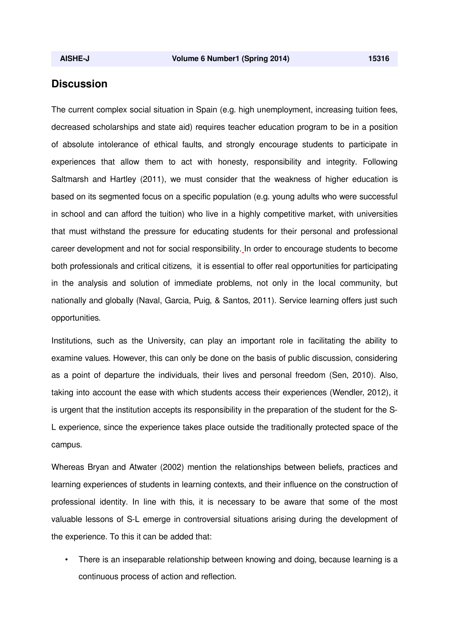### **Discussion**

The current complex social situation in Spain (e.g. high unemployment, increasing tuition fees, decreased scholarships and state aid) requires teacher education program to be in a position of absolute intolerance of ethical faults, and strongly encourage students to participate in experiences that allow them to act with honesty, responsibility and integrity. Following Saltmarsh and Hartley (2011), we must consider that the weakness of higher education is based on its segmented focus on a specific population (e.g. young adults who were successful in school and can afford the tuition) who live in a highly competitive market, with universities that must withstand the pressure for educating students for their personal and professional career development and not for social responsibility. In order to encourage students to become both professionals and critical citizens, it is essential to offer real opportunities for participating in the analysis and solution of immediate problems, not only in the local community, but nationally and globally (Naval, Garcia, Puig, & Santos, 2011). Service learning offers just such opportunities.

Institutions, such as the University, can play an important role in facilitating the ability to examine values. However, this can only be done on the basis of public discussion, considering as a point of departure the individuals, their lives and personal freedom (Sen, 2010). Also, taking into account the ease with which students access their experiences (Wendler, 2012), it is urgent that the institution accepts its responsibility in the preparation of the student for the S-L experience, since the experience takes place outside the traditionally protected space of the campus.

Whereas Bryan and Atwater (2002) mention the relationships between beliefs, practices and learning experiences of students in learning contexts, and their influence on the construction of professional identity. In line with this, it is necessary to be aware that some of the most valuable lessons of S-L emerge in controversial situations arising during the development of the experience. To this it can be added that:

• There is an inseparable relationship between knowing and doing, because learning is a continuous process of action and reflection.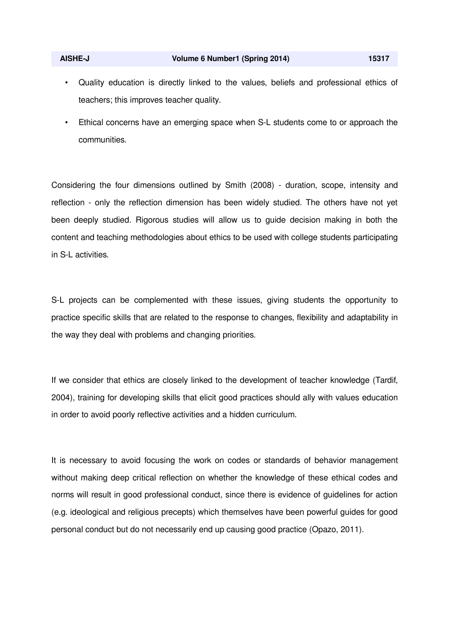- Quality education is directly linked to the values, beliefs and professional ethics of teachers; this improves teacher quality.
- Ethical concerns have an emerging space when S-L students come to or approach the communities.

Considering the four dimensions outlined by Smith (2008) - duration, scope, intensity and reflection - only the reflection dimension has been widely studied. The others have not yet been deeply studied. Rigorous studies will allow us to guide decision making in both the content and teaching methodologies about ethics to be used with college students participating in S-L activities.

S-L projects can be complemented with these issues, giving students the opportunity to practice specific skills that are related to the response to changes, flexibility and adaptability in the way they deal with problems and changing priorities.

If we consider that ethics are closely linked to the development of teacher knowledge (Tardif, 2004), training for developing skills that elicit good practices should ally with values education in order to avoid poorly reflective activities and a hidden curriculum.

It is necessary to avoid focusing the work on codes or standards of behavior management without making deep critical reflection on whether the knowledge of these ethical codes and norms will result in good professional conduct, since there is evidence of guidelines for action (e.g. ideological and religious precepts) which themselves have been powerful guides for good personal conduct but do not necessarily end up causing good practice (Opazo, 2011).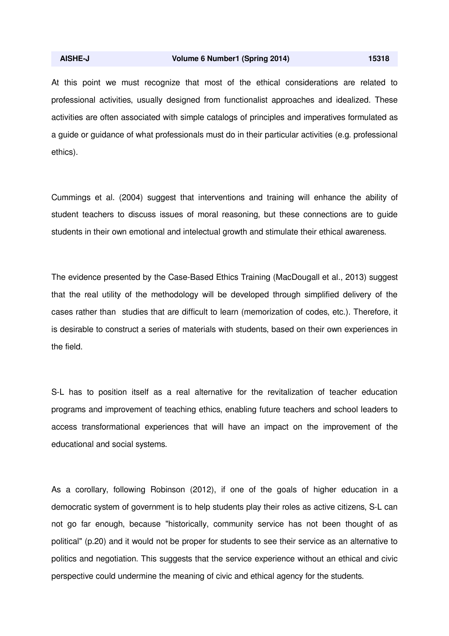At this point we must recognize that most of the ethical considerations are related to professional activities, usually designed from functionalist approaches and idealized. These activities are often associated with simple catalogs of principles and imperatives formulated as a guide or guidance of what professionals must do in their particular activities (e.g. professional ethics).

Cummings et al. (2004) suggest that interventions and training will enhance the ability of student teachers to discuss issues of moral reasoning, but these connections are to guide students in their own emotional and intelectual growth and stimulate their ethical awareness.

The evidence presented by the Case-Based Ethics Training (MacDougall et al., 2013) suggest that the real utility of the methodology will be developed through simplified delivery of the cases rather than studies that are difficult to learn (memorization of codes, etc.). Therefore, it is desirable to construct a series of materials with students, based on their own experiences in the field.

S-L has to position itself as a real alternative for the revitalization of teacher education programs and improvement of teaching ethics, enabling future teachers and school leaders to access transformational experiences that will have an impact on the improvement of the educational and social systems.

As a corollary, following Robinson (2012), if one of the goals of higher education in a democratic system of government is to help students play their roles as active citizens, S-L can not go far enough, because "historically, community service has not been thought of as political" (p.20) and it would not be proper for students to see their service as an alternative to politics and negotiation. This suggests that the service experience without an ethical and civic perspective could undermine the meaning of civic and ethical agency for the students.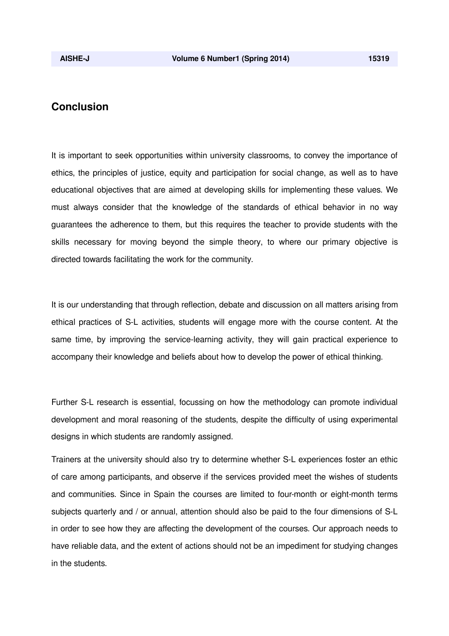## **Conclusion**

It is important to seek opportunities within university classrooms, to convey the importance of ethics, the principles of justice, equity and participation for social change, as well as to have educational objectives that are aimed at developing skills for implementing these values. We must always consider that the knowledge of the standards of ethical behavior in no way guarantees the adherence to them, but this requires the teacher to provide students with the skills necessary for moving beyond the simple theory, to where our primary objective is directed towards facilitating the work for the community.

It is our understanding that through reflection, debate and discussion on all matters arising from ethical practices of S-L activities, students will engage more with the course content. At the same time, by improving the service-learning activity, they will gain practical experience to accompany their knowledge and beliefs about how to develop the power of ethical thinking.

Further S-L research is essential, focussing on how the methodology can promote individual development and moral reasoning of the students, despite the difficulty of using experimental designs in which students are randomly assigned.

Trainers at the university should also try to determine whether S-L experiences foster an ethic of care among participants, and observe if the services provided meet the wishes of students and communities. Since in Spain the courses are limited to four-month or eight-month terms subjects quarterly and / or annual, attention should also be paid to the four dimensions of S-L in order to see how they are affecting the development of the courses. Our approach needs to have reliable data, and the extent of actions should not be an impediment for studying changes in the students.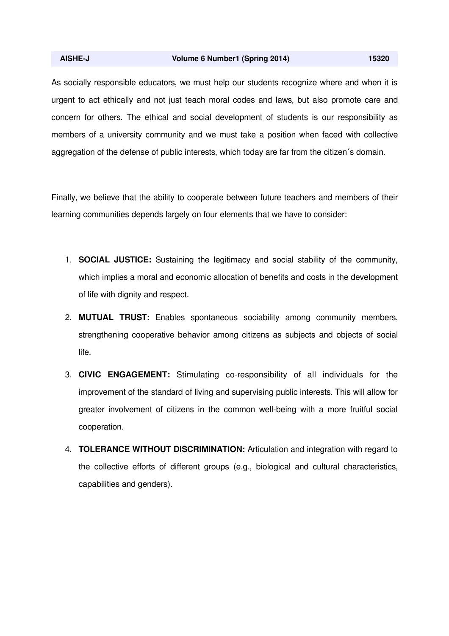#### **AISHE-J Volume 6 Number1 (Spring 2014) 15320**

As socially responsible educators, we must help our students recognize where and when it is urgent to act ethically and not just teach moral codes and laws, but also promote care and concern for others. The ethical and social development of students is our responsibility as members of a university community and we must take a position when faced with collective aggregation of the defense of public interests, which today are far from the citizen´s domain.

Finally, we believe that the ability to cooperate between future teachers and members of their learning communities depends largely on four elements that we have to consider:

- 1. **SOCIAL JUSTICE:** Sustaining the legitimacy and social stability of the community, which implies a moral and economic allocation of benefits and costs in the development of life with dignity and respect.
- 2. **MUTUAL TRUST:** Enables spontaneous sociability among community members, strengthening cooperative behavior among citizens as subjects and objects of social life.
- 3. **CIVIC ENGAGEMENT:** Stimulating co-responsibility of all individuals for the improvement of the standard of living and supervising public interests. This will allow for greater involvement of citizens in the common well-being with a more fruitful social cooperation.
- 4. **TOLERANCE WITHOUT DISCRIMINATION:** Articulation and integration with regard to the collective efforts of different groups (e.g., biological and cultural characteristics, capabilities and genders).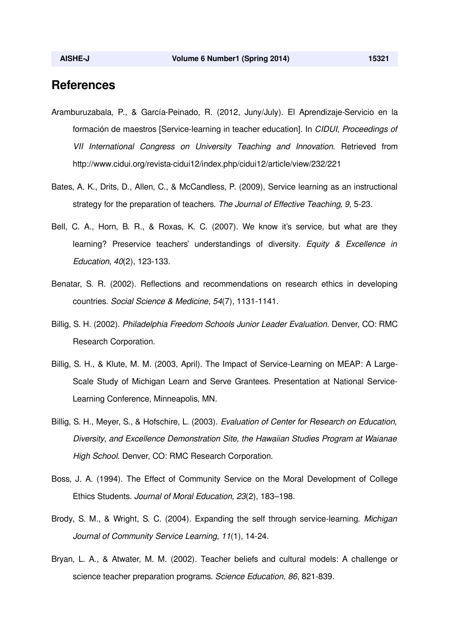# **References**

- Aramburuzabala, P., & García-Peinado, R. (2012, Juny/July). El Aprendizaje-Servicio en la formación de maestros [Service-learning in teacher education]. In *CIDUI*, *Proceedings of VII International Congress on University Teaching and Innovation.* Retrieved from http://www.cidui.org/revista-cidui12/index.php/cidui12/article/view/232/221
- Bates, A. K., Drits, D., Allen, C., & McCandless, P. (2009), Service learning as an instructional strategy for the preparation of teachers. *The Journal of Effective Teaching, 9*, 5-23.
- Bell, C. A., Horn, B. R., & Roxas, K. C. (2007). We know it's service, but what are they learning? Preservice teachers' understandings of diversity. *Equity & Excellence in Education, 40*(2), 123-133.
- Benatar, S. R. (2002). Reflections and recommendations on research ethics in developing countries. *Social Science & Medicine*, *54*(7)*,* 1131-1141.
- Billig, S. H. (2002). *Philadelphia Freedom Schools Junior Leader Evaluation*. Denver, CO: RMC Research Corporation.
- Billig, S. H., & Klute, M. M. (2003, April). The Impact of Service-Learning on MEAP: A Large-Scale Study of Michigan Learn and Serve Grantees. Presentation at National Service-Learning Conference, Minneapolis, MN.
- Billig, S. H., Meyer, S., & Hofschire, L. (2003). *Evaluation of Center for Research on Education, Diversity, and Excellence Demonstration Site, the Hawaiian Studies Program at Waianae High School*. Denver, CO: RMC Research Corporation.
- Boss, J. A. (1994). The Effect of Community Service on the Moral Development of College Ethics Students. *Journal of Moral Education*, *23*(2), 183–198.
- Brody, S. M., & Wright, S. C. (2004). Expanding the self through service-learning. *Michigan Journal of Community Service Learning*, *11*(1), 14-24.
- Bryan, L. A., & Atwater, M. M. (2002). Teacher beliefs and cultural models: A challenge or science teacher preparation programs. *Science Education*, *86*, 821-839.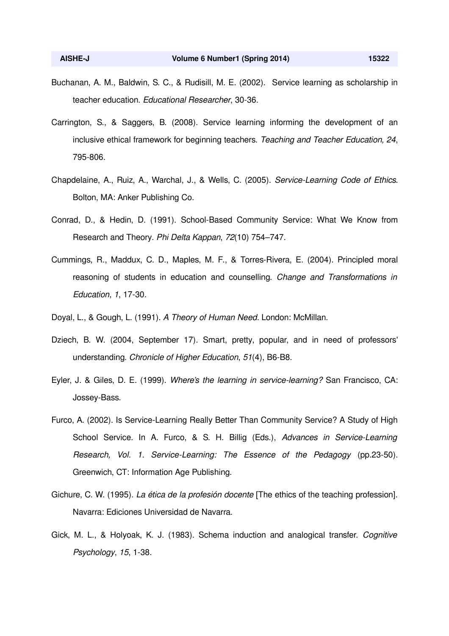- Buchanan, A. M., Baldwin, S. C., & Rudisill, M. E. (2002). Service learning as scholarship in teacher education. *Educational Researcher*, 30-36.
- Carrington, S., & Saggers, B. (2008). Service learning informing the development of an inclusive ethical framework for beginning teachers. *Teaching and Teacher Education, 24*, 795-806.
- Chapdelaine, A., Ruiz, A., Warchal, J., & Wells, C. (2005). *Service-Learning Code of Ethics.* Bolton, MA: Anker Publishing Co.
- Conrad, D., & Hedin, D. (1991). School-Based Community Service: What We Know from Research and Theory. *Phi Delta Kappan*, *72*(10) 754–747.
- Cummings, R., Maddux, C. D., Maples, M. F., & Torres-Rivera, E. (2004). Principled moral reasoning of students in education and counselling. *Change and Transformations in Education*, *1*, 17-30.
- Doyal, L., & Gough, L. (1991). *A Theory of Human Need.* London: McMillan.
- Dziech, B. W. (2004, September 17). Smart, pretty, popular, and in need of professors' understanding. *Chronicle of Higher Education*, *51*(4), B6-B8.
- Eyler, J. & Giles, D. E. (1999). *Where's the learning in service-learning?* San Francisco, CA: Jossey-Bass.
- Furco, A. (2002). Is Service-Learning Really Better Than Community Service? A Study of High School Service. In A. Furco, & S. H. Billig (Eds.), *Advances in Service-Learning Research, Vol. 1. Service-Learning: The Essence of the Pedagogy* (pp.23-50). Greenwich, CT: Information Age Publishing.
- Gichure, C. W. (1995). *La ética de la profesión docente* [The ethics of the teaching profession]. Navarra: Ediciones Universidad de Navarra.
- Gick, M. L., & Holyoak, K. J. (1983). Schema induction and analogical transfer. *Cognitive Psychology*, *15*, 1-38.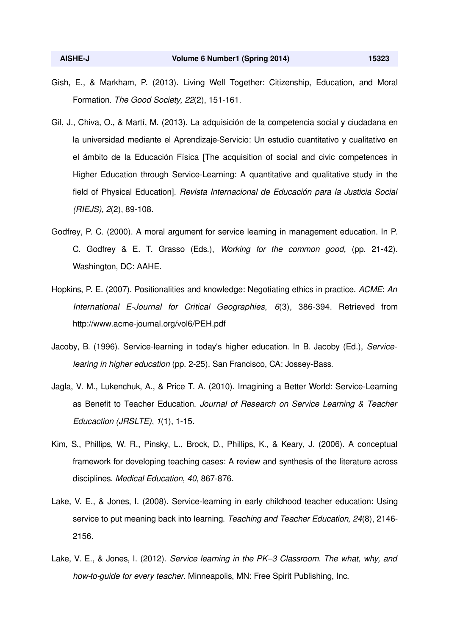- Gish, E., & Markham, P. (2013). Living Well Together: Citizenship, Education, and Moral Formation. *The Good Society, 22*(2), 151-161.
- Gil, J., Chiva, O., & Martí, M. (2013). La adquisición de la competencia social y ciudadana en la universidad mediante el Aprendizaje-Servicio: Un estudio cuantitativo y cualitativo en el ámbito de la Educación Física [The acquisition of social and civic competences in Higher Education through Service-Learning: A quantitative and qualitative study in the field of Physical Education]. *Revista Internacional de Educación para la Justicia Social (RIEJS), 2*(2), 89-108.
- Godfrey, P. C. (2000). A moral argument for service learning in management education. In P. C. Godfrey & E. T. Grasso (Eds.), *Working for the common good,* (pp. 21-42). Washington, DC: AAHE.
- Hopkins, P. E. (2007). Positionalities and knowledge: Negotiating ethics in practice. *ACME*: *An International E-Journal for Critical Geographies*, *6*(3), 386-394. Retrieved from http://www.acme-journal.org/vol6/PEH.pdf
- Jacoby, B. (1996). Service-learning in today's higher education. In B. Jacoby (Ed.), *Servicelearing in higher education* (pp. 2-25). San Francisco, CA: Jossey-Bass.
- Jagla, V. M., Lukenchuk, A., & Price T. A. (2010). Imagining a Better World: Service-Learning as Benefit to Teacher Education. *Journal of Research on Service Learning & Teacher Educaction (JRSLTE)*, *1*(1), 1-15.
- Kim, S., Phillips, W. R., Pinsky, L., Brock, D., Phillips, K., & Keary, J. (2006). A conceptual framework for developing teaching cases: A review and synthesis of the literature across disciplines. *Medical Education*, *40,* 867-876.
- Lake, V. E., & Jones, I. (2008). Service-learning in early childhood teacher education: Using service to put meaning back into learning. *Teaching and Teacher Education, 24*(8), 2146- 2156.
- Lake, V. E., & Jones, I. (2012). *Service learning in the PK–3 Classroom. The what, why, and how-to-guide for every teacher*. Minneapolis, MN: Free Spirit Publishing, Inc.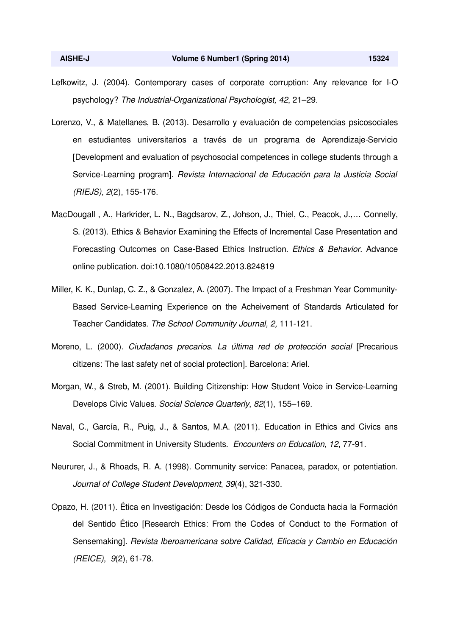- Lefkowitz, J. (2004). Contemporary cases of corporate corruption: Any relevance for I-O psychology? *The Industrial-Organizational Psychologist, 42*, 21–29.
- Lorenzo, V., & Matellanes, B. (2013). Desarrollo y evaluación de competencias psicosociales en estudiantes universitarios a través de un programa de Aprendizaje-Servicio [Development and evaluation of psychosocial competences in college students through a Service-Learning program]. *Revista Internacional de Educación para la Justicia Social (RIEJS), 2*(2), 155-176.
- MacDougall , A., Harkrider, L. N., Bagdsarov, Z., Johson, J., Thiel, C., Peacok, J.,… Connelly, S. (2013). Ethics & Behavior Examining the Effects of Incremental Case Presentation and Forecasting Outcomes on Case-Based Ethics Instruction. *Ethics & Behavior*. Advance online publication. doi:10.1080/10508422.2013.824819
- Miller, K. K., Dunlap, C. Z., & Gonzalez, A. (2007). The Impact of a Freshman Year Community-Based Service-Learning Experience on the Acheivement of Standards Articulated for Teacher Candidates. *The School Community Journal, 2,* 111-121.
- Moreno, L. (2000). *Ciudadanos precarios. La última red de protección social* [Precarious citizens: The last safety net of social protection]. Barcelona: Ariel.
- Morgan, W., & Streb, M. (2001). Building Citizenship: How Student Voice in Service-Learning Develops Civic Values. *Social Science Quarterly*, *82*(1), 155–169.
- Naval, C., García, R., Puig, J., & Santos, M.A. (2011). Education in Ethics and Civics ans Social Commitment in University Students. *Encounters on Education*, *12*, 77-91.
- Neururer, J., & Rhoads, R. A. (1998). Community service: Panacea, paradox, or potentiation. *Journal of College Student Development*, *39*(4), 321-330.
- Opazo, H. (2011). Ética en Investigación: Desde los Códigos de Conducta hacia la Formación del Sentido Ético [Research Ethics: From the Codes of Conduct to the Formation of Sensemaking]. *Revista Iberoamericana sobre Calidad, Eficacia y Cambio en Educación (REICE)*, *9*(2), 61-78.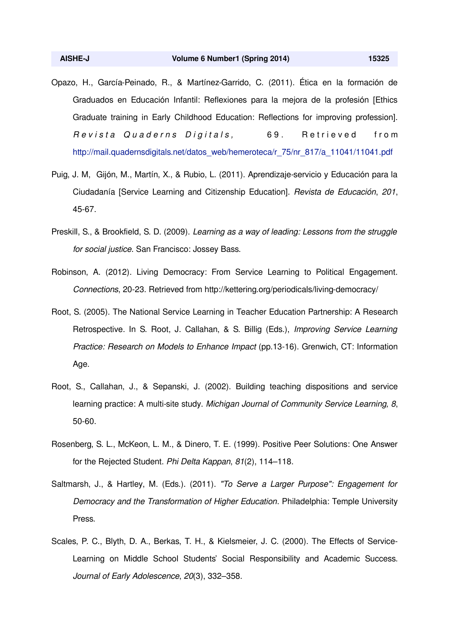- Opazo, H., García-Peinado, R., & Martínez-Garrido, C. (2011). Ética en la formación de Graduados en Educación Infantil: Reflexiones para la mejora de la profesión [Ethics Graduate training in Early Childhood Education: Reflections for improving profession]. Revista Quaderns Digitals, 69. Retrieved from http://mail.quadernsdigitals.net/datos\_web/hemeroteca/r\_75/nr\_817/a\_11041/11041.pdf
- Puig, J. M, Gijón, M., Martín, X., & Rubio, L. (2011). Aprendizaje-servicio y Educación para la Ciudadanía [Service Learning and Citizenship Education]. *Revista de Educación*, *201*, 45-67.
- Preskill, S., & Brookfield, S. D. (2009). *Learning as a way of leading: Lessons from the struggle for social justice*. San Francisco: Jossey Bass.
- Robinson, A. (2012). Living Democracy: From Service Learning to Political Engagement. *Connections*, 20-23. Retrieved from http://kettering.org/periodicals/living-democracy/
- Root, S. (2005). The National Service Learning in Teacher Education Partnership: A Research Retrospective*.* In S. Root, J. Callahan, & S. Billig (Eds.), *Improving Service Learning Practice: Research on Models to Enhance Impact* (pp.13-16). Grenwich, CT: Information Age.
- Root, S., Callahan, J., & Sepanski, J. (2002). Building teaching dispositions and service learning practice: A multi-site study. *Michigan Journal of Community Service Learning, 8*, 50-60.
- Rosenberg, S. L., McKeon, L. M., & Dinero, T. E. (1999). Positive Peer Solutions: One Answer for the Rejected Student. *Phi Delta Kappan*, *81*(2), 114–118.
- Saltmarsh, J., & Hartley, M. (Eds.). (2011). *"To Serve a Larger Purpose": Engagement for Democracy and the Transformation of Higher Education*. Philadelphia: Temple University Press.
- Scales, P. C., Blyth, D. A., Berkas, T. H., & Kielsmeier, J. C. (2000). The Effects of Service-Learning on Middle School Students' Social Responsibility and Academic Success. *Journal of Early Adolescence*, *20*(3), 332–358.